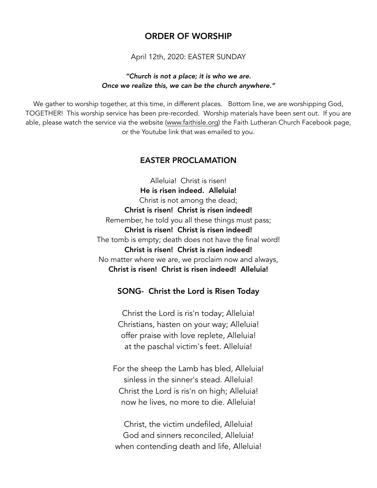# ORDER OF WORSHIP

April 12th, 2020: EASTER SUNDAY

#### *"Church is not a place; it is who we are. Once we realize this, we can be the church anywhere."*

We gather to worship together, at this time, in different places. Bottom line, we are worshipping God, TOGETHER! This worship service has been pre-recorded. Worship materials have been sent out. If you are able, please watch the service via the website [\(www.faithisle.org\)](http://www.faithisle.org) the Faith Lutheran Church Facebook page, or the Youtube link that was emailed to you.

#### EASTER PROCLAMATION

Alleluia! Christ is risen! He is risen indeed. Alleluia! Christ is not among the dead; Christ is risen! Christ is risen indeed! Remember, he told you all these things must pass; Christ is risen! Christ is risen indeed! The tomb is empty; death does not have the final word! Christ is risen! Christ is risen indeed! No matter where we are, we proclaim now and always, Christ is risen! Christ is risen indeed! Alleluia!

#### SONG- Christ the Lord is Risen Today

 Christ the Lord is ris'n today; Alleluia! Christians, hasten on your way; Alleluia! offer praise with love replete, Alleluia! at the paschal victim's feet. Alleluia!

 For the sheep the Lamb has bled, Alleluia! sinless in the sinner's stead. Alleluia! Christ the Lord is ris'n on high; Alleluia! now he lives, no more to die. Alleluia!

 Christ, the victim undefiled, Alleluia! God and sinners reconciled, Alleluia! when contending death and life, Alleluia!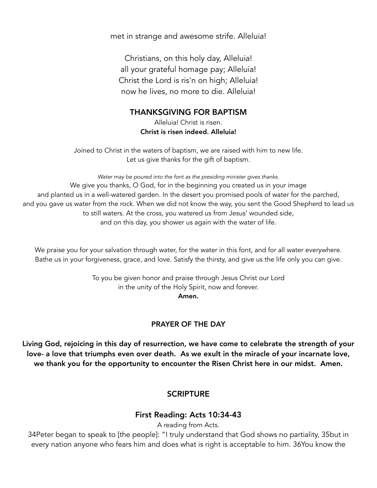met in strange and awesome strife. Alleluia!

 Christians, on this holy day, Alleluia! all your grateful homage pay; Alleluia! Christ the Lord is ris'n on high; Alleluia! now he lives, no more to die. Alleluia!

# THANKSGIVING FOR BAPTISM

Alleluia! Christ is risen. Christ is risen indeed. Alleluia!

Joined to Christ in the waters of baptism, we are raised with him to new life. Let us give thanks for the gift of baptism.

*Water may be poured into the font as the presiding minister gives thanks.*  We give you thanks, O God, for in the beginning you created us in your image and planted us in a well-watered garden. In the desert you promised pools of water for the parched, and you gave us water from the rock. When we did not know the way, you sent the Good Shepherd to lead us to still waters. At the cross, you watered us from Jesus' wounded side, and on this day, you shower us again with the water of life.

We praise you for your salvation through water, for the water in this font, and for all water everywhere. Bathe us in your forgiveness, grace, and love. Satisfy the thirsty, and give us the life only you can give.

> To you be given honor and praise through Jesus Christ our Lord in the unity of the Holy Spirit, now and forever.

Amen.

# PRAYER OF THE DAY

Living God, rejoicing in this day of resurrection, we have come to celebrate the strength of your love- a love that triumphs even over death. As we exult in the miracle of your incarnate love, we thank you for the opportunity to encounter the Risen Christ here in our midst. Amen.

# **SCRIPTURE**

# First Reading: Acts 10:34-43

A reading from Acts.

34Peter began to speak to [the people]: "I truly understand that God shows no partiality, 35but in every nation anyone who fears him and does what is right is acceptable to him. 36You know the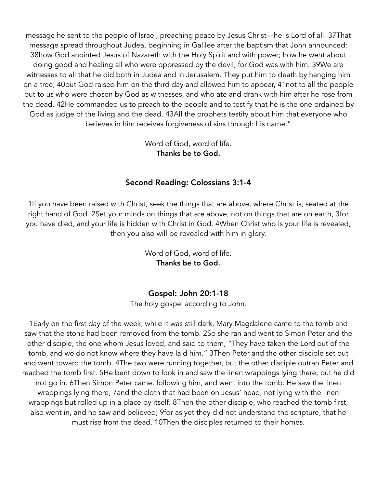message he sent to the people of Israel, preaching peace by Jesus Christ—he is Lord of all. 37That message spread throughout Judea, beginning in Galilee after the baptism that John announced: 38how God anointed Jesus of Nazareth with the Holy Spirit and with power; how he went about doing good and healing all who were oppressed by the devil, for God was with him. 39We are witnesses to all that he did both in Judea and in Jerusalem. They put him to death by hanging him on a tree; 40but God raised him on the third day and allowed him to appear, 41not to all the people but to us who were chosen by God as witnesses, and who ate and drank with him after he rose from the dead. 42He commanded us to preach to the people and to testify that he is the one ordained by God as judge of the living and the dead. 43All the prophets testify about him that everyone who believes in him receives forgiveness of sins through his name."

> Word of God, word of life. Thanks be to God.

# Second Reading: Colossians 3:1-4

1If you have been raised with Christ, seek the things that are above, where Christ is, seated at the right hand of God. 2Set your minds on things that are above, not on things that are on earth, 3for you have died, and your life is hidden with Christ in God. 4When Christ who is your life is revealed, then you also will be revealed with him in glory.

> Word of God, word of life. Thanks be to God.

# Gospel: John 20:1-18

The holy gospel according to John.

1Early on the first day of the week, while it was still dark, Mary Magdalene came to the tomb and saw that the stone had been removed from the tomb. 2So she ran and went to Simon Peter and the other disciple, the one whom Jesus loved, and said to them, "They have taken the Lord out of the tomb, and we do not know where they have laid him." 3Then Peter and the other disciple set out and went toward the tomb. 4The two were running together, but the other disciple outran Peter and reached the tomb first. 5He bent down to look in and saw the linen wrappings lying there, but he did not go in. 6Then Simon Peter came, following him, and went into the tomb. He saw the linen wrappings lying there, 7and the cloth that had been on Jesus' head, not lying with the linen wrappings but rolled up in a place by itself. 8Then the other disciple, who reached the tomb first, also went in, and he saw and believed; 9for as yet they did not understand the scripture, that he must rise from the dead. 10Then the disciples returned to their homes.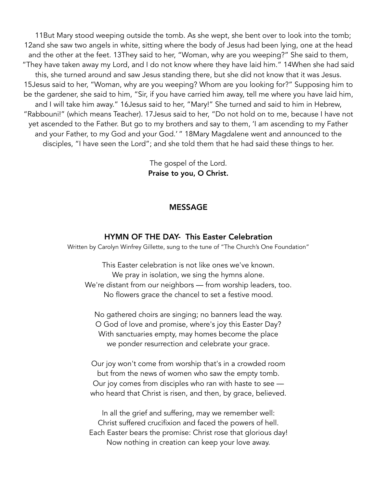11But Mary stood weeping outside the tomb. As she wept, she bent over to look into the tomb; 12and she saw two angels in white, sitting where the body of Jesus had been lying, one at the head and the other at the feet. 13They said to her, "Woman, why are you weeping?" She said to them, "They have taken away my Lord, and I do not know where they have laid him." 14When she had said this, she turned around and saw Jesus standing there, but she did not know that it was Jesus. 15Jesus said to her, "Woman, why are you weeping? Whom are you looking for?" Supposing him to be the gardener, she said to him, "Sir, if you have carried him away, tell me where you have laid him, and I will take him away." 16Jesus said to her, "Mary!" She turned and said to him in Hebrew, "Rabbouni!" (which means Teacher). 17Jesus said to her, "Do not hold on to me, because I have not yet ascended to the Father. But go to my brothers and say to them, 'I am ascending to my Father and your Father, to my God and your God.' " 18Mary Magdalene went and announced to the disciples, "I have seen the Lord"; and she told them that he had said these things to her.

> The gospel of the Lord. Praise to you, O Christ.

#### MESSAGE

#### HYMN OF THE DAY- This Easter Celebration

Written by Carolyn Winfrey Gillette, sung to the tune of "The Church's One Foundation"

 This Easter celebration is not like ones we've known. We pray in isolation, we sing the hymns alone. We're distant from our neighbors — from worship leaders, too. No flowers grace the chancel to set a festive mood.

No gathered choirs are singing; no banners lead the way. O God of love and promise, where's joy this Easter Day? With sanctuaries empty, may homes become the place we ponder resurrection and celebrate your grace.

Our joy won't come from worship that's in a crowded room but from the news of women who saw the empty tomb. Our joy comes from disciples who ran with haste to see who heard that Christ is risen, and then, by grace, believed.

In all the grief and suffering, may we remember well: Christ suffered crucifixion and faced the powers of hell. Each Easter bears the promise: Christ rose that glorious day! Now nothing in creation can keep your love away.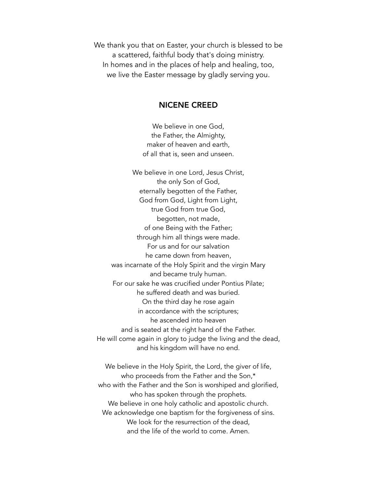We thank you that on Easter, your church is blessed to be a scattered, faithful body that's doing ministry. In homes and in the places of help and healing, too, we live the Easter message by gladly serving you.

#### NICENE CREED

We believe in one God, the Father, the Almighty, maker of heaven and earth, of all that is, seen and unseen.

We believe in one Lord, Jesus Christ, the only Son of God, eternally begotten of the Father, God from God, Light from Light, true God from true God, begotten, not made, of one Being with the Father; through him all things were made. For us and for our salvation he came down from heaven, was incarnate of the Holy Spirit and the virgin Mary and became truly human. For our sake he was crucified under Pontius Pilate; he suffered death and was buried. On the third day he rose again in accordance with the scriptures; he ascended into heaven and is seated at the right hand of the Father. He will come again in glory to judge the living and the dead, and his kingdom will have no end.

We believe in the Holy Spirit, the Lord, the giver of life, who proceeds from the Father and the Son,\* who with the Father and the Son is worshiped and glorified, who has spoken through the prophets. We believe in one holy catholic and apostolic church. We acknowledge one baptism for the forgiveness of sins. We look for the resurrection of the dead, and the life of the world to come. Amen.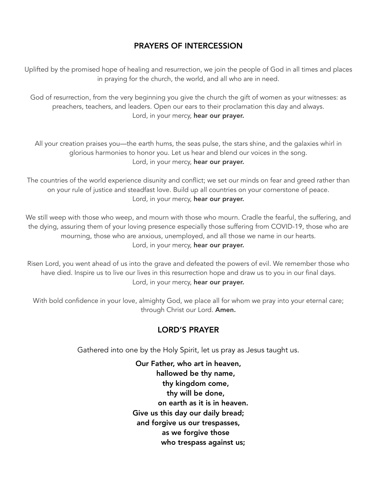# PRAYERS OF INTERCESSION

Uplifted by the promised hope of healing and resurrection, we join the people of God in all times and places in praying for the church, the world, and all who are in need.

God of resurrection, from the very beginning you give the church the gift of women as your witnesses: as preachers, teachers, and leaders. Open our ears to their proclamation this day and always. Lord, in your mercy, hear our prayer.

All your creation praises you—the earth hums, the seas pulse, the stars shine, and the galaxies whirl in glorious harmonies to honor you. Let us hear and blend our voices in the song. Lord, in your mercy, hear our prayer.

The countries of the world experience disunity and conflict; we set our minds on fear and greed rather than on your rule of justice and steadfast love. Build up all countries on your cornerstone of peace. Lord, in your mercy, hear our prayer.

We still weep with those who weep, and mourn with those who mourn. Cradle the fearful, the suffering, and the dying, assuring them of your loving presence especially those suffering from COVID-19, those who are mourning, those who are anxious, unemployed, and all those we name in our hearts. Lord, in your mercy, hear our prayer.

Risen Lord, you went ahead of us into the grave and defeated the powers of evil. We remember those who have died. Inspire us to live our lives in this resurrection hope and draw us to you in our final days. Lord, in your mercy, hear our prayer.

With bold confidence in your love, almighty God, we place all for whom we pray into your eternal care; through Christ our Lord. Amen.

# LORD'S PRAYER

Gathered into one by the Holy Spirit, let us pray as Jesus taught us.

Our Father, who art in heaven, hallowed be thy name, thy kingdom come, thy will be done, on earth as it is in heaven. Give us this day our daily bread; and forgive us our trespasses, as we forgive those who trespass against us;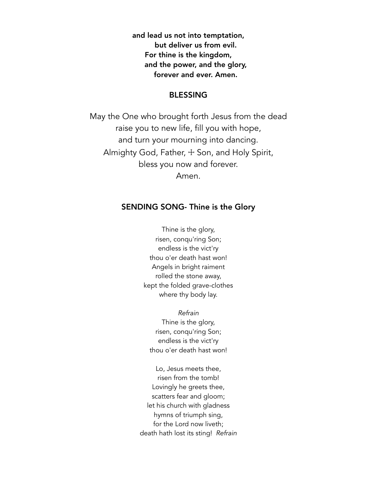and lead us not into temptation, but deliver us from evil. For thine is the kingdom, and the power, and the glory, forever and ever. Amen.

#### BLESSING

May the One who brought forth Jesus from the dead raise you to new life, fill you with hope, and turn your mourning into dancing. Almighty God, Father, + Son, and Holy Spirit, bless you now and forever. Amen.

#### SENDING SONG- Thine is the Glory

 Thine is the glory, risen, conqu'ring Son; endless is the vict'ry thou o'er death hast won! Angels in bright raiment rolled the stone away, kept the folded grave-clothes where thy body lay.

 *Refrain* Thine is the glory, risen, conqu'ring Son; endless is the vict'ry thou o'er death hast won!

 Lo, Jesus meets thee, risen from the tomb! Lovingly he greets thee, scatters fear and gloom; let his church with gladness hymns of triumph sing, for the Lord now liveth; death hath lost its sting! *Refrain*